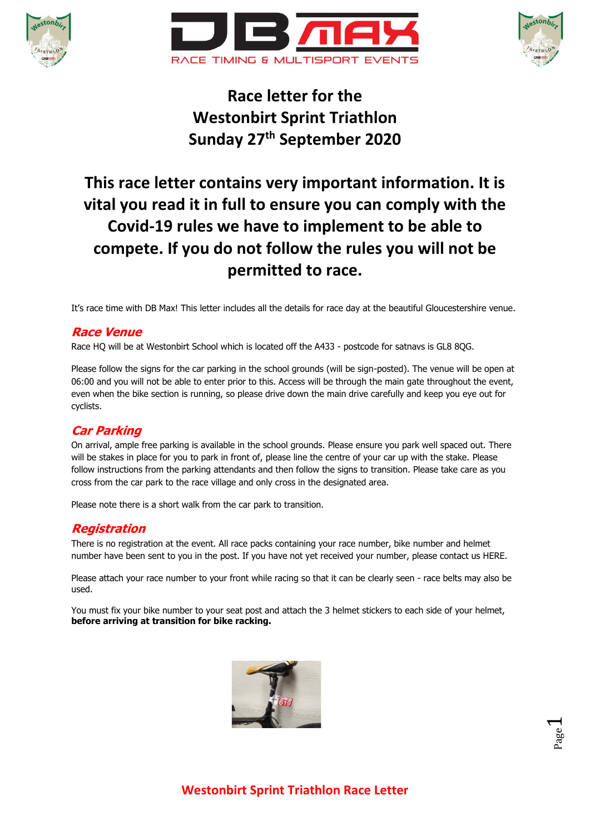





# **Race letter for the Westonbirt Sprint Triathlon Sunday 27th September 2020**

# **This race letter contains very important information. It is vital you read it in full to ensure you can comply with the Covid-19 rules we have to implement to be able to compete. If you do not follow the rules you will not be permitted to race.**

It's race time with DB Max! This letter includes all the details for race day at the beautiful Gloucestershire venue.

## **Race Venue**

Race HQ will be at Westonbirt School which is located off the A433 - postcode for satnavs is GL8 8QG.

Please follow the signs for the car parking in the school grounds (will be sign-posted). The venue will be open at 06:00 and you will not be able to enter prior to this. Access will be through the main gate throughout the event, even when the bike section is running, so please drive down the main drive carefully and keep you eye out for cyclists.

## **Car Parking**

On arrival, ample free parking is available in the school grounds. Please ensure you park well spaced out. There will be stakes in place for you to park in front of, please line the centre of your car up with the stake. Please follow instructions from the parking attendants and then follow the signs to transition. Please take care as you cross from the car park to the race village and only cross in the designated area.

Please note there is a short walk from the car park to transition.

## **Registration**

There is no registration at the event. All race packs containing your race number, bike number and helmet number have been sent to you in the post. If you have not yet received your number, please contact us HERE.

Please attach your race number to your front while racing so that it can be clearly seen - race belts may also be used.

You must fix your bike number to your seat post and attach the 3 helmet stickers to each side of your helmet, **before arriving at transition for bike racking.**



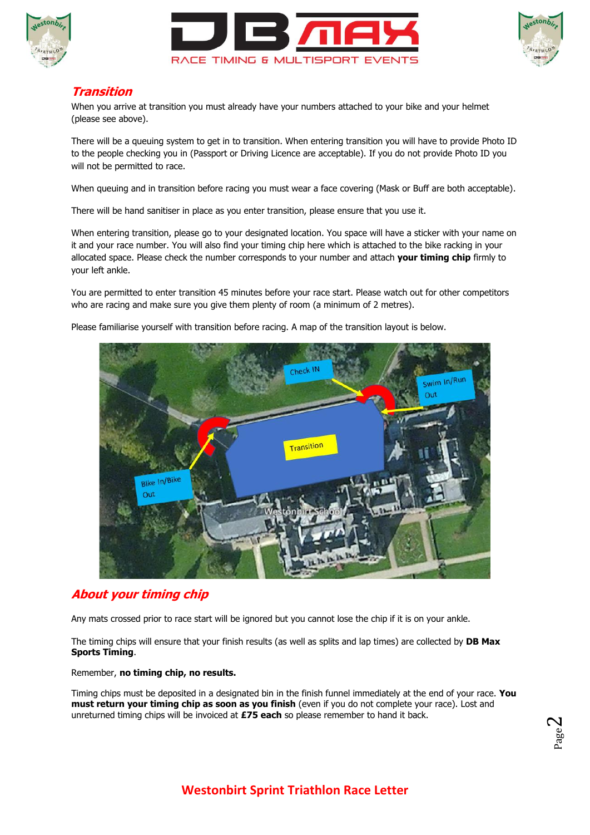





### **Transition**

When you arrive at transition you must already have your numbers attached to your bike and your helmet (please see above).

There will be a queuing system to get in to transition. When entering transition you will have to provide Photo ID to the people checking you in (Passport or Driving Licence are acceptable). If you do not provide Photo ID you will not be permitted to race.

When queuing and in transition before racing you must wear a face covering (Mask or Buff are both acceptable).

There will be hand sanitiser in place as you enter transition, please ensure that you use it.

When entering transition, please go to your designated location. You space will have a sticker with your name on it and your race number. You will also find your timing chip here which is attached to the bike racking in your allocated space. Please check the number corresponds to your number and attach **your timing chip** firmly to your left ankle.

You are permitted to enter transition 45 minutes before your race start. Please watch out for other competitors who are racing and make sure you give them plenty of room (a minimum of 2 metres).

Please familiarise yourself with transition before racing. A map of the transition layout is below.



## **About your timing chip**

Any mats crossed prior to race start will be ignored but you cannot lose the chip if it is on your ankle.

The timing chips will ensure that your finish results (as well as splits and lap times) are collected by **DB Max Sports Timing**.

Remember, **no timing chip, no results.**

Timing chips must be deposited in a designated bin in the finish funnel immediately at the end of your race. **You must return your timing chip as soon as you finish** (even if you do not complete your race). Lost and unreturned timing chips will be invoiced at **£75 each** so please remember to hand it back.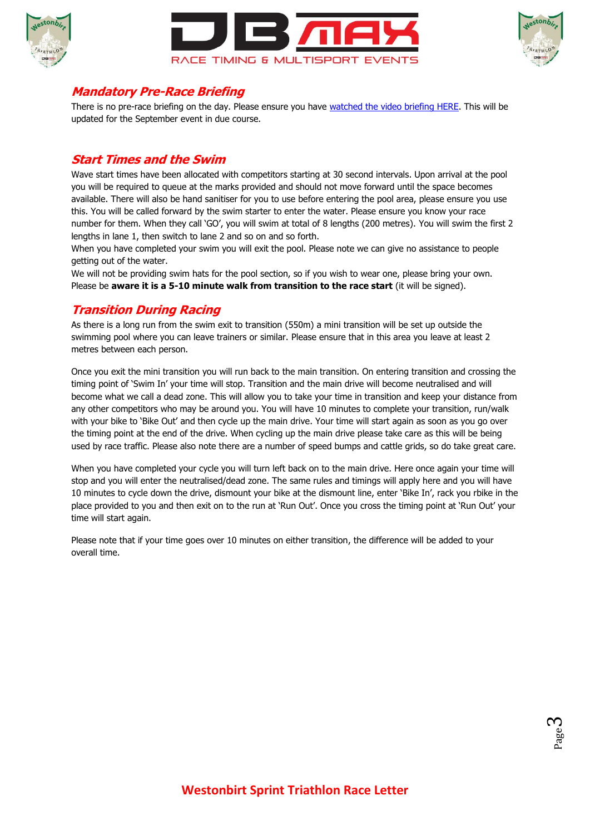





### **Mandatory Pre-Race Briefing**

There is no pre-race briefing on the day. Please ensure you have [watched the video briefing HERE.](https://youtu.be/Khl-X3YPAig) This will be updated for the September event in due course.

#### **Start Times and the Swim**

Wave start times have been allocated with competitors starting at 30 second intervals. Upon arrival at the pool you will be required to queue at the marks provided and should not move forward until the space becomes available. There will also be hand sanitiser for you to use before entering the pool area, please ensure you use this. You will be called forward by the swim starter to enter the water. Please ensure you know your race number for them. When they call 'GO', you will swim at total of 8 lengths (200 metres). You will swim the first 2 lengths in lane 1, then switch to lane 2 and so on and so forth.

When you have completed your swim you will exit the pool. Please note we can give no assistance to people getting out of the water.

We will not be providing swim hats for the pool section, so if you wish to wear one, please bring your own. Please be **aware it is a 5-10 minute walk from transition to the race start** (it will be signed).

## **Transition During Racing**

As there is a long run from the swim exit to transition (550m) a mini transition will be set up outside the swimming pool where you can leave trainers or similar. Please ensure that in this area you leave at least 2 metres between each person.

Once you exit the mini transition you will run back to the main transition. On entering transition and crossing the timing point of 'Swim In' your time will stop. Transition and the main drive will become neutralised and will become what we call a dead zone. This will allow you to take your time in transition and keep your distance from any other competitors who may be around you. You will have 10 minutes to complete your transition, run/walk with your bike to 'Bike Out' and then cycle up the main drive. Your time will start again as soon as you go over the timing point at the end of the drive. When cycling up the main drive please take care as this will be being used by race traffic. Please also note there are a number of speed bumps and cattle grids, so do take great care.

When you have completed your cycle you will turn left back on to the main drive. Here once again your time will stop and you will enter the neutralised/dead zone. The same rules and timings will apply here and you will have 10 minutes to cycle down the drive, dismount your bike at the dismount line, enter 'Bike In', rack you rbike in the place provided to you and then exit on to the run at 'Run Out'. Once you cross the timing point at 'Run Out' your time will start again.

Please note that if your time goes over 10 minutes on either transition, the difference will be added to your overall time.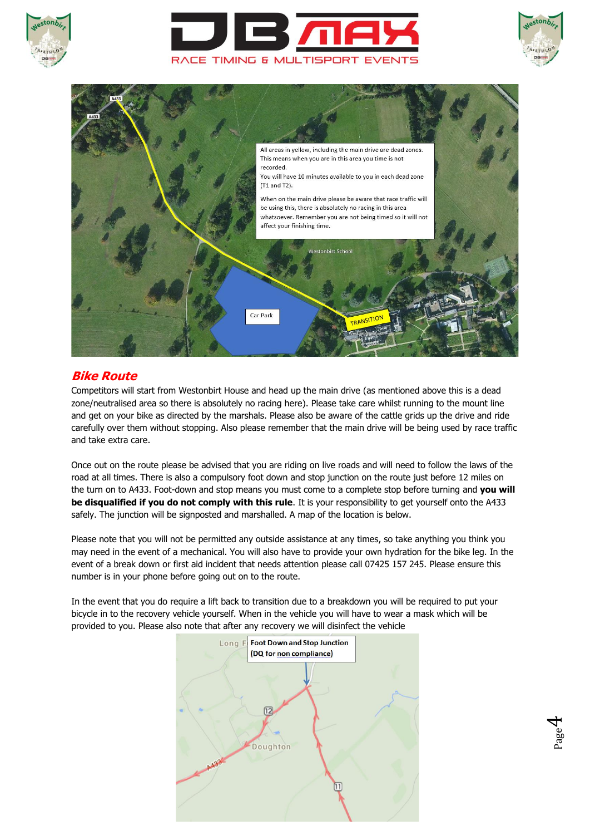





Page 4



## **Bike Route**

Competitors will start from Westonbirt House and head up the main drive (as mentioned above this is a dead zone/neutralised area so there is absolutely no racing here). Please take care whilst running to the mount line and get on your bike as directed by the marshals. Please also be aware of the cattle grids up the drive and ride carefully over them without stopping. Also please remember that the main drive will be being used by race traffic and take extra care.

Once out on the route please be advised that you are riding on live roads and will need to follow the laws of the road at all times. There is also a compulsory foot down and stop junction on the route just before 12 miles on the turn on to A433. Foot-down and stop means you must come to a complete stop before turning and **you will be disqualified if you do not comply with this rule**. It is your responsibility to get yourself onto the A433 safely. The junction will be signposted and marshalled. A map of the location is below.

Please note that you will not be permitted any outside assistance at any times, so take anything you think you may need in the event of a mechanical. You will also have to provide your own hydration for the bike leg. In the event of a break down or first aid incident that needs attention please call 07425 157 245. Please ensure this number is in your phone before going out on to the route.

In the event that you do require a lift back to transition due to a breakdown you will be required to put your bicycle in to the recovery vehicle yourself. When in the vehicle you will have to wear a mask which will be provided to you. Please also note that after any recovery we will disinfect the vehicle

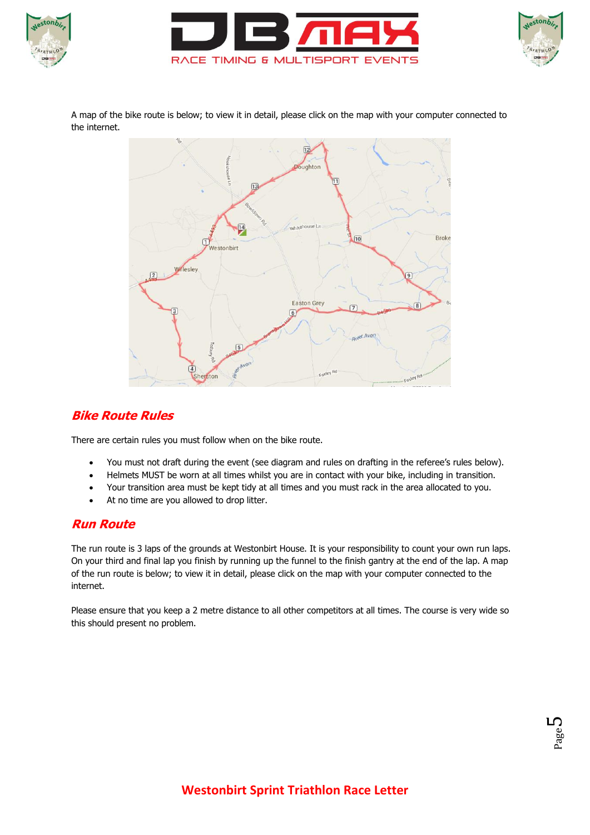





A map of the bike route is below; to view it in detail, please click on the map with your computer connected to the internet.



# **Bike Route Rules**

There are certain rules you must follow when on the bike route.

- You must not draft during the event (see diagram and rules on drafting in the referee's rules below).
- Helmets MUST be worn at all times whilst you are in contact with your bike, including in transition.
- Your transition area must be kept tidy at all times and you must rack in the area allocated to you.
- At no time are you allowed to drop litter.

## **Run Route**

The run route is 3 laps of the grounds at Westonbirt House. It is your responsibility to count your own run laps. On your third and final lap you finish by running up the funnel to the finish gantry at the end of the lap. A map of the run route is below; to view it in detail, please click on the map with your computer connected to the internet.

Please ensure that you keep a 2 metre distance to all other competitors at all times. The course is very wide so this should present no problem.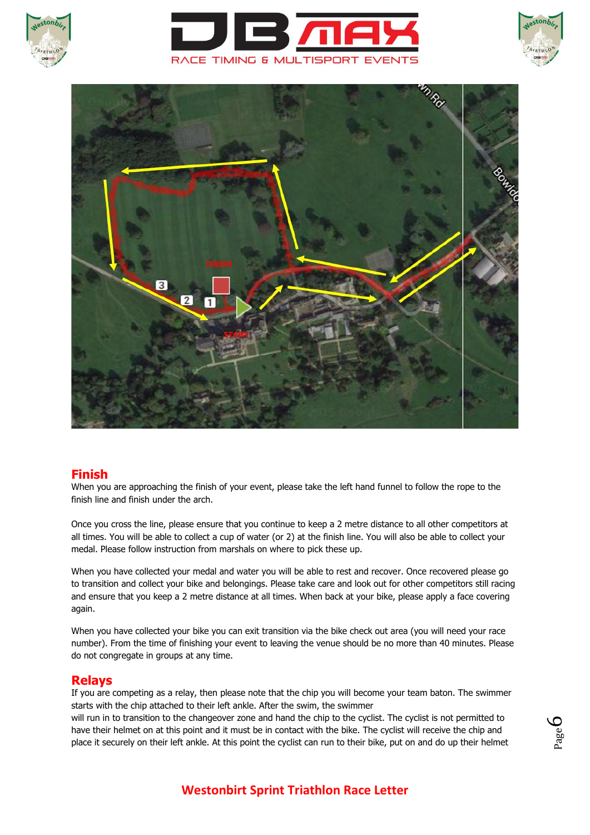







#### **Finish**

When you are approaching the finish of your event, please take the left hand funnel to follow the rope to the finish line and finish under the arch.

Once you cross the line, please ensure that you continue to keep a 2 metre distance to all other competitors at all times. You will be able to collect a cup of water (or 2) at the finish line. You will also be able to collect your medal. Please follow instruction from marshals on where to pick these up.

When you have collected your medal and water you will be able to rest and recover. Once recovered please go to transition and collect your bike and belongings. Please take care and look out for other competitors still racing and ensure that you keep a 2 metre distance at all times. When back at your bike, please apply a face covering again.

When you have collected your bike you can exit transition via the bike check out area (you will need your race number). From the time of finishing your event to leaving the venue should be no more than 40 minutes. Please do not congregate in groups at any time.

#### **Relays**

If you are competing as a relay, then please note that the chip you will become your team baton. The swimmer starts with the chip attached to their left ankle. After the swim, the swimmer

will run in to transition to the changeover zone and hand the chip to the cyclist. The cyclist is not permitted to have their helmet on at this point and it must be in contact with the bike. The cyclist will receive the chip and place it securely on their left ankle. At this point the cyclist can run to their bike, put on and do up their helmet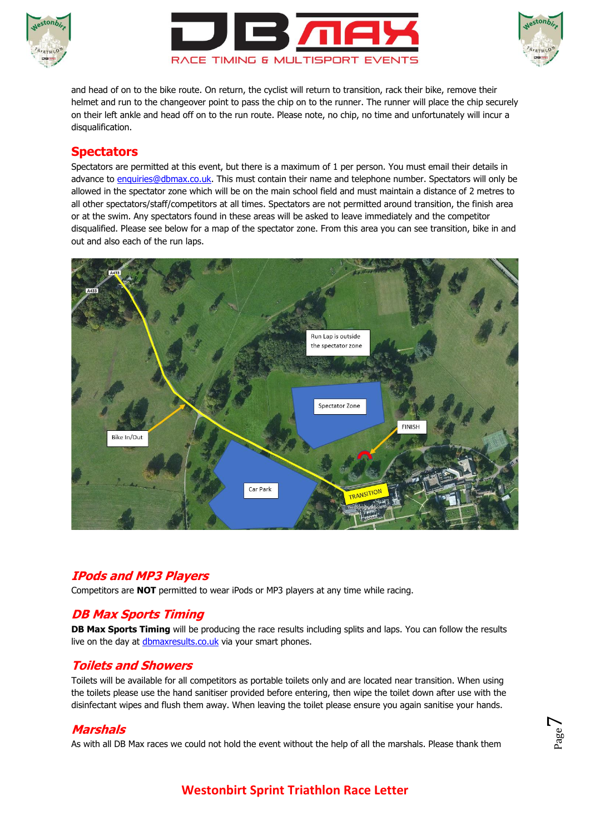





and head of on to the bike route. On return, the cyclist will return to transition, rack their bike, remove their helmet and run to the changeover point to pass the chip on to the runner. The runner will place the chip securely on their left ankle and head off on to the run route. Please note, no chip, no time and unfortunately will incur a disqualification.

## **Spectators**

Spectators are permitted at this event, but there is a maximum of 1 per person. You must email their details in advance to [enquiries@dbmax.co.uk.](mailto:enquiries@dbmax.co.uk) This must contain their name and telephone number. Spectators will only be allowed in the spectator zone which will be on the main school field and must maintain a distance of 2 metres to all other spectators/staff/competitors at all times. Spectators are not permitted around transition, the finish area or at the swim. Any spectators found in these areas will be asked to leave immediately and the competitor disqualified. Please see below for a map of the spectator zone. From this area you can see transition, bike in and out and also each of the run laps.



## **IPods and MP3 Players**

Competitors are **NOT** permitted to wear iPods or MP3 players at any time while racing.

## **DB Max Sports Timing**

**DB Max Sports Timing** will be producing the race results including splits and laps. You can follow the results live on the day at [dbmaxresults.co.uk](http://dbmaxresults.co.uk/results.aspx?CId=16421&RId=2116) via your smart phones.

#### **Toilets and Showers**

Toilets will be available for all competitors as portable toilets only and are located near transition. When using the toilets please use the hand sanitiser provided before entering, then wipe the toilet down after use with the disinfectant wipes and flush them away. When leaving the toilet please ensure you again sanitise your hands.

## **Marshals**

As with all DB Max races we could not hold the event without the help of all the marshals. Please thank them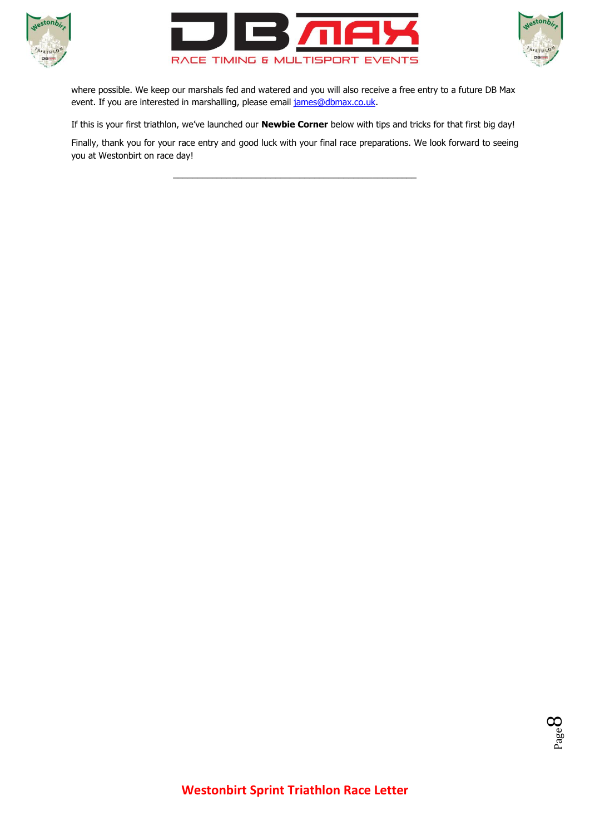





where possible. We keep our marshals fed and watered and you will also receive a free entry to a future DB Max event. If you are interested in marshalling, please email [james@dbmax.co.uk.](mailto:james@dbmax.co.uk)

If this is your first triathlon, we've launched our **Newbie Corner** below with tips and tricks for that first big day!

Finally, thank you for your race entry and good luck with your final race preparations. We look forward to seeing you at Westonbirt on race day!

\_\_\_\_\_\_\_\_\_\_\_\_\_\_\_\_\_\_\_\_\_\_\_\_\_\_\_\_\_\_\_\_\_\_\_\_\_\_\_\_\_\_\_\_\_\_\_\_\_\_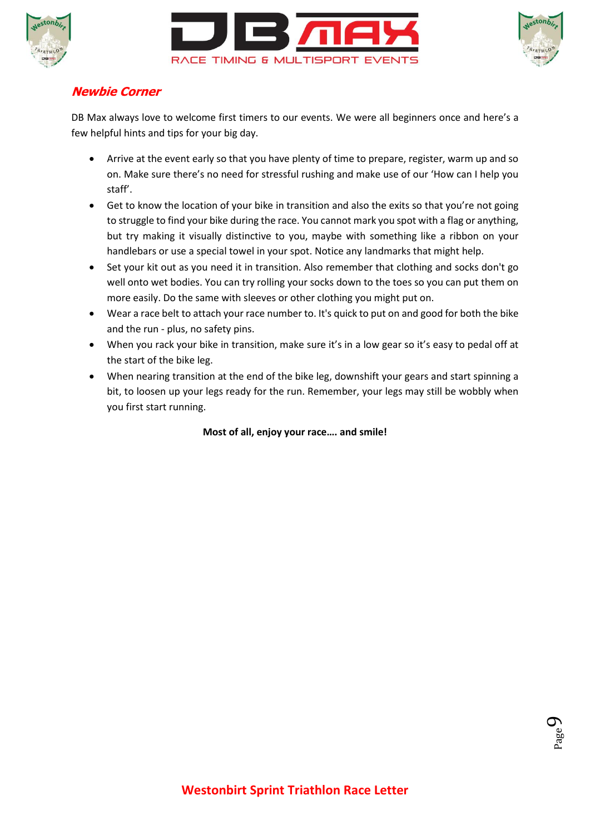





## **Newbie Corner**

DB Max always love to welcome first timers to our events. We were all beginners once and here's a few helpful hints and tips for your big day.

- Arrive at the event early so that you have plenty of time to prepare, register, warm up and so on. Make sure there's no need for stressful rushing and make use of our 'How can I help you staff'.
- Get to know the location of your bike in transition and also the exits so that you're not going to struggle to find your bike during the race. You cannot mark you spot with a flag or anything, but try making it visually distinctive to you, maybe with something like a ribbon on your handlebars or use a special towel in your spot. Notice any landmarks that might help.
- Set your kit out as you need it in transition. Also remember that clothing and socks don't go well onto wet bodies. You can try rolling your socks down to the toes so you can put them on more easily. Do the same with sleeves or other clothing you might put on.
- Wear a race belt to attach your race number to. It's quick to put on and good for both the bike and the run - plus, no safety pins.
- When you rack your bike in transition, make sure it's in a low gear so it's easy to pedal off at the start of the bike leg.
- When nearing transition at the end of the bike leg, downshift your gears and start spinning a bit, to loosen up your legs ready for the run. Remember, your legs may still be wobbly when you first start running.

**Most of all, enjoy your race…. and smile!**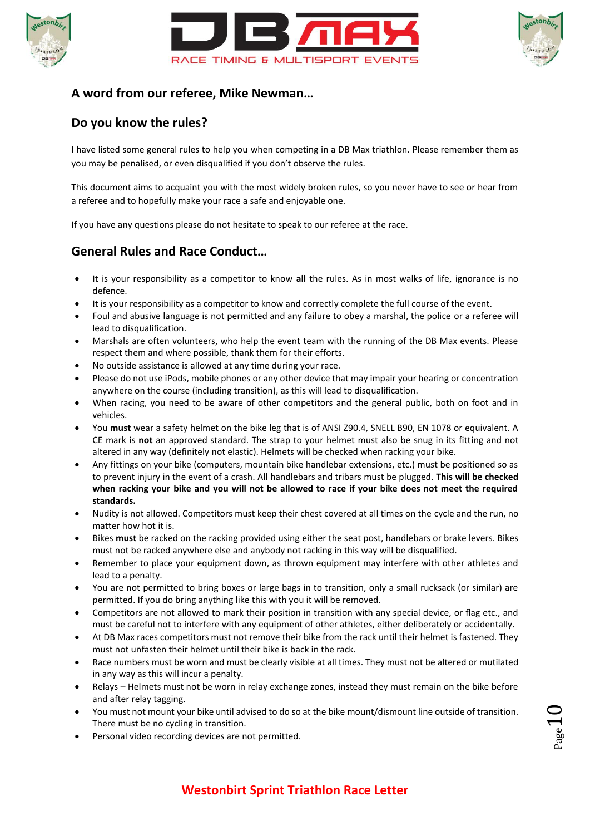





## **A word from our referee, Mike Newman…**

## **Do you know the rules?**

I have listed some general rules to help you when competing in a DB Max triathlon. Please remember them as you may be penalised, or even disqualified if you don't observe the rules.

This document aims to acquaint you with the most widely broken rules, so you never have to see or hear from a referee and to hopefully make your race a safe and enjoyable one.

If you have any questions please do not hesitate to speak to our referee at the race.

# **General Rules and Race Conduct…**

- It is your responsibility as a competitor to know **all** the rules. As in most walks of life, ignorance is no defence.
- It is your responsibility as a competitor to know and correctly complete the full course of the event.
- Foul and abusive language is not permitted and any failure to obey a marshal, the police or a referee will lead to disqualification.
- Marshals are often volunteers, who help the event team with the running of the DB Max events. Please respect them and where possible, thank them for their efforts.
- No outside assistance is allowed at any time during your race.
- Please do not use iPods, mobile phones or any other device that may impair your hearing or concentration anywhere on the course (including transition), as this will lead to disqualification.
- When racing, you need to be aware of other competitors and the general public, both on foot and in vehicles.
- You **must** wear a safety helmet on the bike leg that is of ANSI Z90.4, SNELL B90, EN 1078 or equivalent. A CE mark is **not** an approved standard. The strap to your helmet must also be snug in its fitting and not altered in any way (definitely not elastic). Helmets will be checked when racking your bike.
- Any fittings on your bike (computers, mountain bike handlebar extensions, etc.) must be positioned so as to prevent injury in the event of a crash. All handlebars and tribars must be plugged. **This will be checked when racking your bike and you will not be allowed to race if your bike does not meet the required standards.**
- Nudity is not allowed. Competitors must keep their chest covered at all times on the cycle and the run, no matter how hot it is.
- Bikes **must** be racked on the racking provided using either the seat post, handlebars or brake levers. Bikes must not be racked anywhere else and anybody not racking in this way will be disqualified.
- Remember to place your equipment down, as thrown equipment may interfere with other athletes and lead to a penalty.
- You are not permitted to bring boxes or large bags in to transition, only a small rucksack (or similar) are permitted. If you do bring anything like this with you it will be removed.
- Competitors are not allowed to mark their position in transition with any special device, or flag etc., and must be careful not to interfere with any equipment of other athletes, either deliberately or accidentally.
- At DB Max races competitors must not remove their bike from the rack until their helmet is fastened. They must not unfasten their helmet until their bike is back in the rack.
- Race numbers must be worn and must be clearly visible at all times. They must not be altered or mutilated in any way as this will incur a penalty.
- Relays Helmets must not be worn in relay exchange zones, instead they must remain on the bike before and after relay tagging.
- You must not mount your bike until advised to do so at the bike mount/dismount line outside of transition. There must be no cycling in transition.
- Personal video recording devices are not permitted.

# **Westonbirt Sprint Triathlon Race Letter**